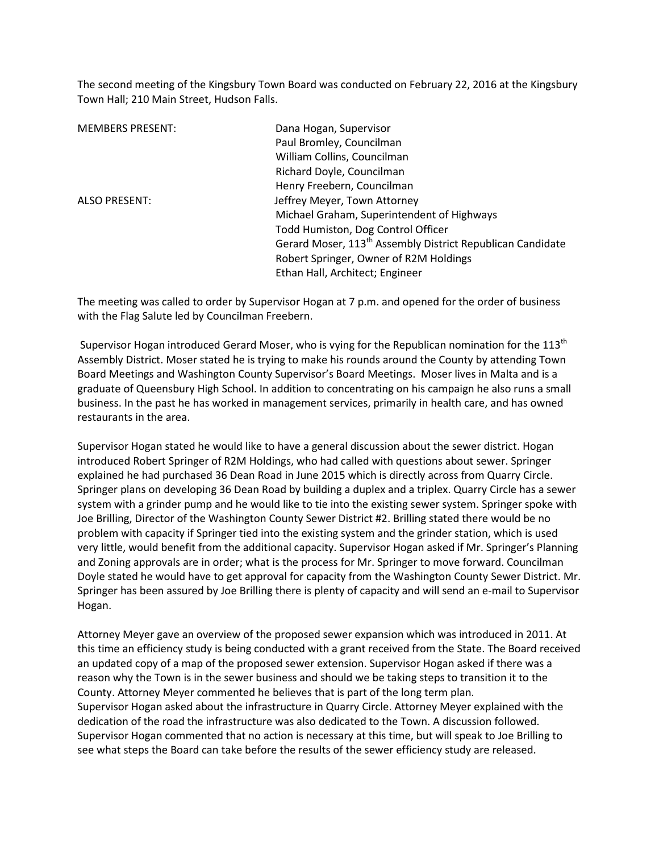The second meeting of the Kingsbury Town Board was conducted on February 22, 2016 at the Kingsbury Town Hall; 210 Main Street, Hudson Falls.

| <b>MEMBERS PRESENT:</b> | Dana Hogan, Supervisor                                                 |
|-------------------------|------------------------------------------------------------------------|
|                         | Paul Bromley, Councilman                                               |
|                         | William Collins, Councilman                                            |
|                         | Richard Doyle, Councilman                                              |
|                         | Henry Freebern, Councilman                                             |
| <b>ALSO PRESENT:</b>    | Jeffrey Meyer, Town Attorney                                           |
|                         | Michael Graham, Superintendent of Highways                             |
|                         | Todd Humiston, Dog Control Officer                                     |
|                         | Gerard Moser, 113 <sup>th</sup> Assembly District Republican Candidate |
|                         | Robert Springer, Owner of R2M Holdings                                 |
|                         | Ethan Hall, Architect; Engineer                                        |

The meeting was called to order by Supervisor Hogan at 7 p.m. and opened for the order of business with the Flag Salute led by Councilman Freebern.

Supervisor Hogan introduced Gerard Moser, who is vying for the Republican nomination for the 113<sup>th</sup> Assembly District. Moser stated he is trying to make his rounds around the County by attending Town Board Meetings and Washington County Supervisor's Board Meetings. Moser lives in Malta and is a graduate of Queensbury High School. In addition to concentrating on his campaign he also runs a small business. In the past he has worked in management services, primarily in health care, and has owned restaurants in the area.

Supervisor Hogan stated he would like to have a general discussion about the sewer district. Hogan introduced Robert Springer of R2M Holdings, who had called with questions about sewer. Springer explained he had purchased 36 Dean Road in June 2015 which is directly across from Quarry Circle. Springer plans on developing 36 Dean Road by building a duplex and a triplex. Quarry Circle has a sewer system with a grinder pump and he would like to tie into the existing sewer system. Springer spoke with Joe Brilling, Director of the Washington County Sewer District #2. Brilling stated there would be no problem with capacity if Springer tied into the existing system and the grinder station, which is used very little, would benefit from the additional capacity. Supervisor Hogan asked if Mr. Springer's Planning and Zoning approvals are in order; what is the process for Mr. Springer to move forward. Councilman Doyle stated he would have to get approval for capacity from the Washington County Sewer District. Mr. Springer has been assured by Joe Brilling there is plenty of capacity and will send an e-mail to Supervisor Hogan.

Attorney Meyer gave an overview of the proposed sewer expansion which was introduced in 2011. At this time an efficiency study is being conducted with a grant received from the State. The Board received an updated copy of a map of the proposed sewer extension. Supervisor Hogan asked if there was a reason why the Town is in the sewer business and should we be taking steps to transition it to the County. Attorney Meyer commented he believes that is part of the long term plan. Supervisor Hogan asked about the infrastructure in Quarry Circle. Attorney Meyer explained with the dedication of the road the infrastructure was also dedicated to the Town. A discussion followed. Supervisor Hogan commented that no action is necessary at this time, but will speak to Joe Brilling to see what steps the Board can take before the results of the sewer efficiency study are released.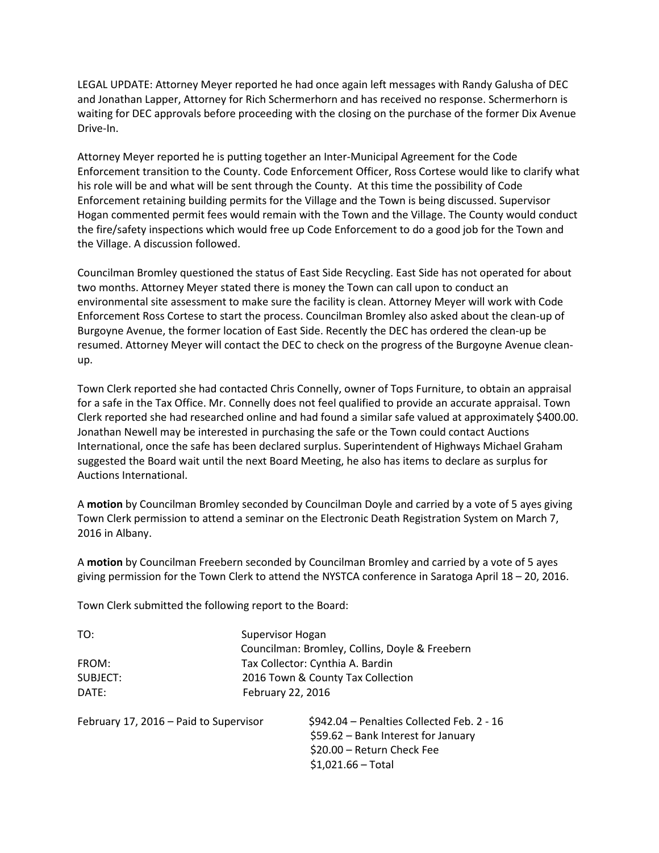LEGAL UPDATE: Attorney Meyer reported he had once again left messages with Randy Galusha of DEC and Jonathan Lapper, Attorney for Rich Schermerhorn and has received no response. Schermerhorn is waiting for DEC approvals before proceeding with the closing on the purchase of the former Dix Avenue Drive-In.

Attorney Meyer reported he is putting together an Inter-Municipal Agreement for the Code Enforcement transition to the County. Code Enforcement Officer, Ross Cortese would like to clarify what his role will be and what will be sent through the County. At this time the possibility of Code Enforcement retaining building permits for the Village and the Town is being discussed. Supervisor Hogan commented permit fees would remain with the Town and the Village. The County would conduct the fire/safety inspections which would free up Code Enforcement to do a good job for the Town and the Village. A discussion followed.

Councilman Bromley questioned the status of East Side Recycling. East Side has not operated for about two months. Attorney Meyer stated there is money the Town can call upon to conduct an environmental site assessment to make sure the facility is clean. Attorney Meyer will work with Code Enforcement Ross Cortese to start the process. Councilman Bromley also asked about the clean-up of Burgoyne Avenue, the former location of East Side. Recently the DEC has ordered the clean-up be resumed. Attorney Meyer will contact the DEC to check on the progress of the Burgoyne Avenue cleanup.

Town Clerk reported she had contacted Chris Connelly, owner of Tops Furniture, to obtain an appraisal for a safe in the Tax Office. Mr. Connelly does not feel qualified to provide an accurate appraisal. Town Clerk reported she had researched online and had found a similar safe valued at approximately \$400.00. Jonathan Newell may be interested in purchasing the safe or the Town could contact Auctions International, once the safe has been declared surplus. Superintendent of Highways Michael Graham suggested the Board wait until the next Board Meeting, he also has items to declare as surplus for Auctions International.

A **motion** by Councilman Bromley seconded by Councilman Doyle and carried by a vote of 5 ayes giving Town Clerk permission to attend a seminar on the Electronic Death Registration System on March 7, 2016 in Albany.

A **motion** by Councilman Freebern seconded by Councilman Bromley and carried by a vote of 5 ayes giving permission for the Town Clerk to attend the NYSTCA conference in Saratoga April 18 – 20, 2016.

\$1,021.66 – Total

Town Clerk submitted the following report to the Board:

| TO:                                    | Supervisor Hogan<br>Councilman: Bromley, Collins, Doyle & Freebern                                              |
|----------------------------------------|-----------------------------------------------------------------------------------------------------------------|
| FROM:                                  | Tax Collector: Cynthia A. Bardin                                                                                |
| SUBJECT:                               | 2016 Town & County Tax Collection                                                                               |
| DATE:                                  | February 22, 2016                                                                                               |
| February 17, 2016 - Paid to Supervisor | \$942.04 - Penalties Collected Feb. 2 - 16<br>\$59.62 - Bank Interest for January<br>\$20.00 - Return Check Fee |